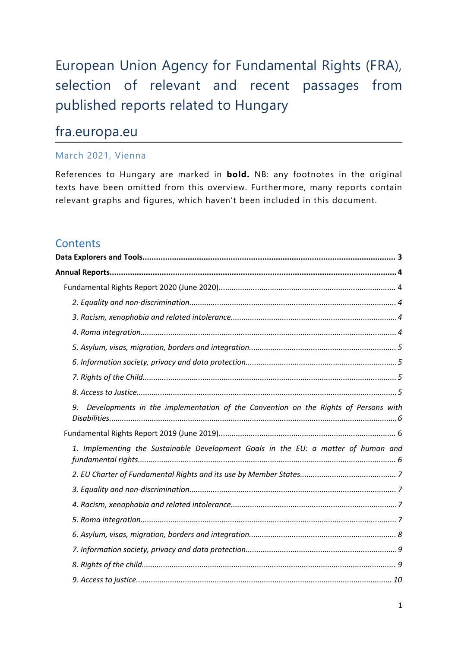# European Union Agency for Fundamental Rights (FRA), selection of relevant and recent passages from published reports related to Hungary

## fra.europa.eu

## March 2021, Vienna

References to Hungary are marked in **bold.** NB: any footnotes in the original texts have been omitted from this overview. Furthermore, many reports contain relevant graphs and figures, which haven'<sup>t</sup> been included in this document.

## **Contents**

| 9. | Developments in the implementation of the Convention on the Rights of Persons with |
|----|------------------------------------------------------------------------------------|
|    |                                                                                    |
|    | 1. Implementing the Sustainable Development Goals in the EU: a matter of human and |
|    |                                                                                    |
|    |                                                                                    |
|    |                                                                                    |
|    |                                                                                    |
|    |                                                                                    |
|    |                                                                                    |
|    |                                                                                    |
|    |                                                                                    |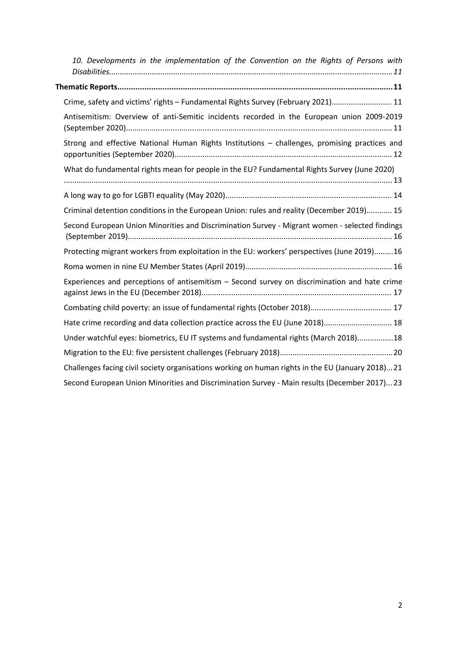| 10. Developments in the implementation of the Convention on the Rights of Persons with           |
|--------------------------------------------------------------------------------------------------|
|                                                                                                  |
| Crime, safety and victims' rights - Fundamental Rights Survey (February 2021) 11                 |
| Antisemitism: Overview of anti-Semitic incidents recorded in the European union 2009-2019        |
| Strong and effective National Human Rights Institutions - challenges, promising practices and    |
| What do fundamental rights mean for people in the EU? Fundamental Rights Survey (June 2020)      |
|                                                                                                  |
| Criminal detention conditions in the European Union: rules and reality (December 2019) 15        |
| Second European Union Minorities and Discrimination Survey - Migrant women - selected findings   |
| Protecting migrant workers from exploitation in the EU: workers' perspectives (June 2019)16      |
|                                                                                                  |
| Experiences and perceptions of antisemitism – Second survey on discrimination and hate crime     |
|                                                                                                  |
| Hate crime recording and data collection practice across the EU (June 2018) 18                   |
| Under watchful eyes: biometrics, EU IT systems and fundamental rights (March 2018)18             |
|                                                                                                  |
| Challenges facing civil society organisations working on human rights in the EU (January 2018)21 |
| Second European Union Minorities and Discrimination Survey - Main results (December 2017) 23     |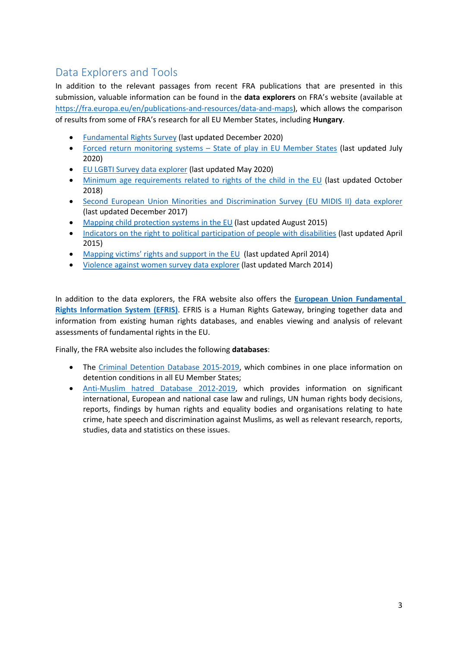## <span id="page-2-0"></span>Data Explorers and Tools

In addition to the relevant passages from recent FRA publications that are presented in this submission, valuable information can be found in the **data explorers** on FRA'<sup>s</sup> website (available at <https://fra.europa.eu/en/publications-and-resources/data-and-maps>), which allows the comparison of results from some of FRA'<sup>s</sup> research for all EU Member States, including **Hungary**.

- e [Fundamental](https://fra.europa.eu/en/data-and-maps/2021/frs) Rights Survey (last updated December 2020)
- Forced return [monitoring](https://fra.europa.eu/en/publications-and-resources/data-and-maps/return) systems State of play in EU Member States (last updated July 2020)
- EU LGBTI Survey data [explorer](https://fra.europa.eu/en/data-and-maps/2020/lgbti-survey-data-explorer) (last updated May 2020)
- Minimum age [requirements](https://fra.europa.eu/en/publications-and-resources/data-and-maps/minag) related to rights of the child in the EU (last updated October 2018)
- $\bullet$  Second European Union Minorities and [Discrimination](https://fra.europa.eu/en/publications-and-resources/data-and-maps/survey-data-explorer-second-eu-minorities-discrimination-survey) Survey (EU MIDIS II) data explorer (last updated December 2017)
- c Mapping child [protection](http://fra.europa.eu/en/publications-and-resources/data-and-maps/comparative-data/child-protection) systems in the EU (last updated August 2015)
- $\bullet$  Indicators on the right to political [participation](http://fra.europa.eu/en/publications-and-resources/data-and-maps/comparative-data/political-participation) of people with disabilities (last updated April 2015)
- e [Mapping](http://fra.europa.eu/en/publications-and-resources/data-and-maps/comparative-data/victims-support-services) victims' rights and support in the EU (last updated April 2014)
- Violence against women survey data [explorer](http://fra.europa.eu/en/publications-and-resources/data-and-maps/survey-data-explorer-violence-against-women-survey) (last updated March 2014)

In addition to the data explorers, the FRA website also offers the **European Union [Fundamental](https://fra.europa.eu/en/databases/efris/) Rights [Information](https://fra.europa.eu/en/databases/efris/) System (EFRIS)**. EFRIS is <sup>a</sup> Human Rights Gateway, bringing together data and information from existing human rights databases, and enables viewing and analysis of relevant assessments of fundamental rights in the EU.

Finally, the FRA website also includes the following **databases**:

- The Criminal Detention Database [2015-2019](https://fra.europa.eu/en/databases/criminal-detention/criminal-detention/home), which combines in one place information on detention conditions in all EU Member States;
- c [Anti-Muslim](https://fra.europa.eu/en/databases/anti-muslim-hatred/) hatred Database 2012-2019, which provides information on significant international, European and national case law and rulings, UN human rights body decisions, reports, findings by human rights and equality bodies and organisations relating to hate crime, hate speech and discrimination against Muslims, as well as relevant research, reports, studies, data and statistics on these issues.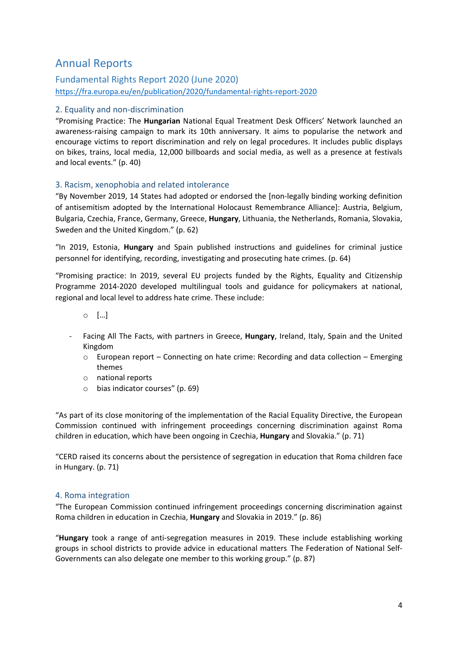## <span id="page-3-0"></span>Annual Reports

Fundamental Rights Report 2020 (June 2020) <https://fra.europa.eu/en/publication/2020/fundamental-rights-report-2020>

#### 2. Equality and non-discrimination

"Promising Practice: The **Hungarian** National Equal Treatment Desk Officers' Network launched an awareness-raising campaign to mark its 10th anniversary. It aims to popularise the network and encourage victims to report discrimination and rely on legal procedures. It includes public displays on bikes, trains, local media, 12,000 billboards and social media, as well as <sup>a</sup> presence at festivals and local events." (p. 40)

#### 3. Racism, xenophobia and related intolerance

"By November 2019, 14 States had adopted or endorsed the [non-legally binding working definition of antisemitism adopted by the International Holocaust Remembrance Alliance]: Austria, Belgium, Bulgaria, Czechia, France, Germany, Greece, **Hungary**, Lithuania, the Netherlands, Romania, Slovakia, Sweden and the United Kingdom." (p. 62)

"In 2019, Estonia, **Hungary** and Spain published instructions and guidelines for criminal justice personnel for identifying, recording, investigating and prosecuting hate crimes. (p. 64)

"Promising practice: In 2019, several EU projects funded by the Rights, Equality and Citizenship Programme 2014-2020 developed multilingual tools and guidance for policymakers at national, regional and local level to address hate crime. These include:

- <sup>o</sup> […]
- - Facing All The Facts, with partners in Greece, **Hungary**, Ireland, Italy, Spain and the United Kingdom
	- $\circ$  European report Connecting on hate crime: Recording and data collection Emerging themes
	- <sup>o</sup> national reports
	- <sup>o</sup> bias indicator courses" (p. 69)

"As part of its close monitoring of the implementation of the Racial Equality Directive, the European Commission continued with infringement proceedings concerning discrimination against Roma children in education, which have been ongoing in Czechia, **Hungary** and Slovakia." (p. 71)

"CERD raised its concerns about the persistence of segregation in education that Roma children face in Hungary. (p. 71)

#### 4. Roma integration

"The European Commission continued infringement proceedings concerning discrimination against Roma children in education in Czechia, **Hungary** and Slovakia in 2019." (p. 86)

"**Hungary** took <sup>a</sup> range of anti-segregation measures in 2019. These include establishing working groups in school districts to provide advice in educational matters. The Federation of National Self-Governments can also delegate one member to this working group." (p. 87)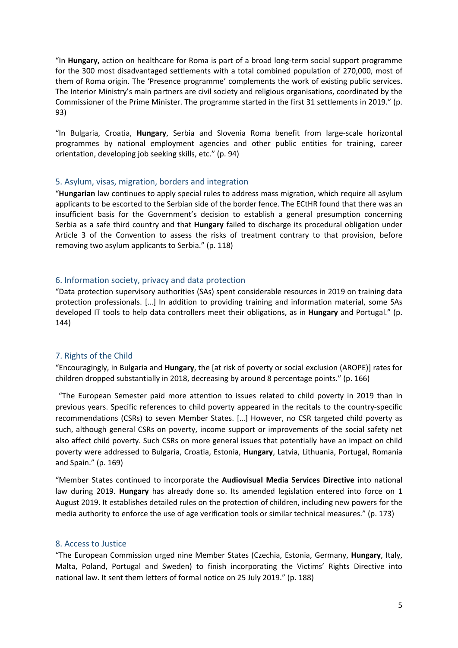<span id="page-4-0"></span>"In **Hungary,** action on healthcare for Roma is part of <sup>a</sup> broad long-term social support programme for the 300 most disadvantaged settlements with <sup>a</sup> total combined population of 270,000, most of them of Roma origin. The 'Presence programme' complements the work of existing public services. The Interior Ministry'<sup>s</sup> main partners are civil society and religious organisations, coordinated by the Commissioner of the Prime Minister. The programme started in the first 31 settlements in 2019." (p. 93)

"In Bulgaria, Croatia, **Hungary**, Serbia and Slovenia Roma benefit from large-scale horizontal programmes by national employment agencies and other public entities for training, career orientation, developing job seeking skills, etc." (p. 94)

#### 5. Asylum, visas, migration, borders and integration

"**Hungarian** law continues to apply special rules to address mass migration, which require all asylum applicants to be escorted to the Serbian side of the border fence. The ECtHR found that there was an insufficient basis for the Government'<sup>s</sup> decision to establish <sup>a</sup> general presumption concerning Serbia as <sup>a</sup> safe third country and that **Hungary** failed to discharge its procedural obligation under Article 3 of the Convention to assess the risks of treatment contrary to that provision, before removing two asylum applicants to Serbia." (p. 118)

#### 6. Information society, privacy and data protection

"Data protection supervisory authorities (SAs) spent considerable resources in 2019 on training data protection professionals. […] In addition to providing training and information material, some SAs developed IT tools to help data controllers meet their obligations, as in **Hungary** and Portugal." (p. 144)

#### 7. Rights of the Child

"Encouragingly, in Bulgaria and **Hungary**, the [at risk of poverty or social exclusion (AROPE)] rates for children dropped substantially in 2018, decreasing by around 8 percentage points." (p. 166)

"The European Semester paid more attention to issues related to child poverty in 2019 than in previous years. Specific references to child poverty appeared in the recitals to the country-specific recommendations (CSRs) to seven Member States. […] However, no CSR targeted child poverty as such, although general CSRs on poverty, income support or improvements of the social safety net also affect child poverty. Such CSRs on more general issues that potentially have an impact on child poverty were addressed to Bulgaria, Croatia, Estonia, **Hungary**, Latvia, Lithuania, Portugal, Romania and Spain." (p. 169)

"Member States continued to incorporate the **Audiovisual Media Services Directive** into national law during 2019. **Hungary** has already done so. Its amended legislation entered into force on 1 August 2019. It establishes detailed rules on the protection of children, including new powers for the media authority to enforce the use of age verification tools or similar technical measures." (p. 173)

#### 8. Access to Justice

"The European Commission urged nine Member States (Czechia, Estonia, Germany, **Hungary**, Italy, Malta, Poland, Portugal and Sweden) to finish incorporating the Victims' Rights Directive into national law. It sent them letters of formal notice on 25 July 2019." (p. 188)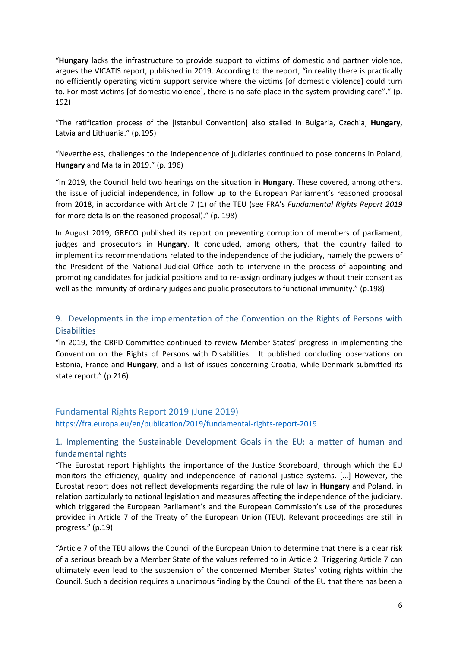<span id="page-5-0"></span>"**Hungary** lacks the infrastructure to provide support to victims of domestic and partner violence, argues the VICATIS report, published in 2019. According to the report, "in reality there is practically no efficiently operating victim support service where the victims [of domestic violence] could turn to. For most victims [of domestic violence], there is no safe place in the system providing care"." (p. 192)

"The ratification process of the [Istanbul Convention] also stalled in Bulgaria, Czechia, **Hungary**, Latvia and Lithuania." (p.195)

"Nevertheless, challenges to the independence of judiciaries continued to pose concerns in Poland, **Hungary** and Malta in 2019." (p. 196)

"In 2019, the Council held two hearings on the situation in **Hungary**. These covered, among others, the issue of judicial independence, in follow up to the European Parliament'<sup>s</sup> reasoned proposal from 2018, in accordance with Article 7 (1) of the TEU (see FRA'<sup>s</sup> *Fundamental Rights Report 2019* for more details on the reasoned proposal)." (p. 198)

In August 2019, GRECO published its report on preventing corruption of members of parliament, judges and prosecutors in **Hungary**. It concluded, among others, that the country failed to implement its recommendations related to the independence of the judiciary, namely the powers of the President of the National Judicial Office both to intervene in the process of appointing and promoting candidates for judicial positions and to re-assign ordinary judges without their consent as well as the immunity of ordinary judges and public prosecutors to functional immunity." (p.198)

### 9. Developments in the implementation of the Convention on the Rights of Persons with **Disabilities**

"In 2019, the CRPD Committee continued to review Member States' progress in implementing the Convention on the Rights of Persons with Disabilities. It published concluding observations on Estonia, France and **Hungary**, and <sup>a</sup> list of issues concerning Croatia, while Denmark submitted its state report." (p.216)

### Fundamental Rights Report 2019 (June 2019) <https://fra.europa.eu/en/publication/2019/fundamental-rights-report-2019>

## 1. Implementing the Sustainable Development Goals in the EU: <sup>a</sup> matter of human and fundamental rights

"The Eurostat report highlights the importance of the Justice Scoreboard, through which the EU monitors the efficiency, quality and independence of national justice systems. […] However, the Eurostat report does not reflect developments regarding the rule of law in **Hungary** and Poland, in relation particularly to national legislation and measures affecting the independence of the judiciary, which triggered the European Parliament'<sup>s</sup> and the European Commission'<sup>s</sup> use of the procedures provided in Article 7 of the Treaty of the European Union (TEU). Relevant proceedings are still in progress." (p.19)

"Article 7 of the TEU allows the Council of the European Union to determine that there is <sup>a</sup> clear risk of <sup>a</sup> serious breach by <sup>a</sup> Member State of the values referred to in Article 2. Triggering Article 7 can ultimately even lead to the suspension of the concerned Member States' voting rights within the Council. Such <sup>a</sup> decision requires <sup>a</sup> unanimous finding by the Council of the EU that there has been <sup>a</sup>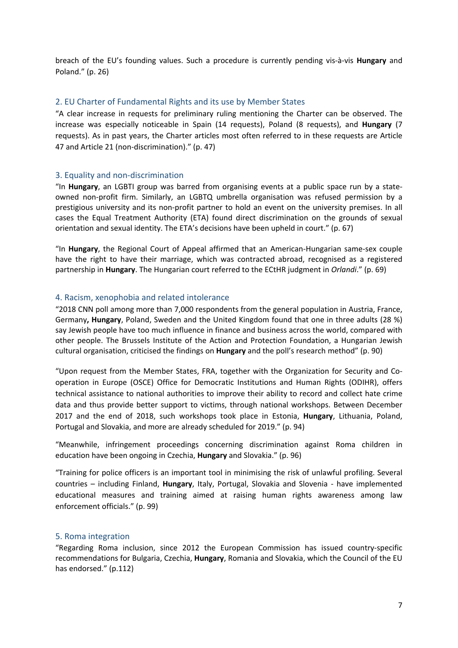<span id="page-6-0"></span>breach of the EU'<sup>s</sup> founding values. Such <sup>a</sup> procedure is currently pending vis-à-vis **Hungary** and Poland." (p. 26)

#### 2. EU Charter of Fundamental Rights and its use by Member States

"A clear increase in requests for preliminary ruling mentioning the Charter can be observed. The increase was especially noticeable in Spain (14 requests), Poland (8 requests), and **Hungary** (7 requests). As in past years, the Charter articles most often referred to in these requests are Article 47 and Article 21 (non-discrimination)." (p. 47)

#### 3. Equality and non-discrimination

"In **Hungary**, an LGBTI group was barred from organising events at <sup>a</sup> public space run by <sup>a</sup> stateowned non-profit firm. Similarly, an LGBTQ umbrella organisation was refused permission by <sup>a</sup> prestigious university and its non-profit partner to hold an event on the university premises. In all cases the Equal Treatment Authority (ETA) found direct discrimination on the grounds of sexual orientation and sexual identity. The ETA'<sup>s</sup> decisions have been upheld in court." (p. 67)

"In **Hungary**, the Regional Court of Appeal affirmed that an American-Hungarian same-sex couple have the right to have their marriage, which was contracted abroad, recognised as <sup>a</sup> registered partnership in **Hungary**. The Hungarian court referred to the ECtHR judgment in *Orlandi*." (p. 69)

#### 4. Racism, xenophobia and related intolerance

"2018 CNN poll among more than 7,000 respondents from the general population in Austria, France, Germany**, Hungary**, Poland, Sweden and the United Kingdom found that one in three adults (28 %) say Jewish people have too much influence in finance and business across the world, compared with other people. The Brussels Institute of the Action and Protection Foundation, <sup>a</sup> Hungarian Jewish cultural organisation, criticised the findings on **Hungary** and the poll'<sup>s</sup> research method" (p. 90)

"Upon request from the Member States, FRA, together with the Organization for Security and Cooperation in Europe (OSCE) Office for Democratic Institutions and Human Rights (ODIHR), offers technical assistance to national authorities to improve their ability to record and collect hate crime data and thus provide better support to victims, through national workshops. Between December 2017 and the end of 2018, such workshops took place in Estonia, **Hungary**, Lithuania, Poland, Portugal and Slovakia, and more are already scheduled for 2019." (p. 94)

"Meanwhile, infringement proceedings concerning discrimination against Roma children in education have been ongoing in Czechia, **Hungary** and Slovakia." (p. 96)

"Training for police officers is an important tool in minimising the risk of unlawful profiling. Several countries – including Finland, **Hungary**, Italy, Portugal, Slovakia and Slovenia - have implemented educational measures and training aimed at raising human rights awareness among law enforcement officials." (p. 99)

#### 5. Roma integration

"Regarding Roma inclusion, since 2012 the European Commission has issued country-specific recommendations for Bulgaria, Czechia, **Hungary**, Romania and Slovakia, which the Council of the EU has endorsed." (p.112)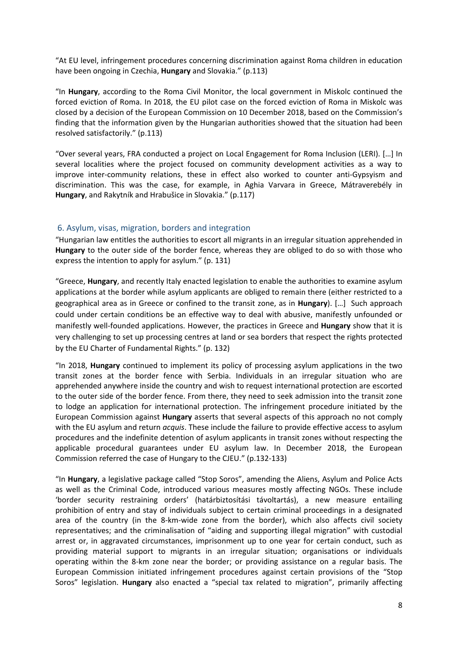<span id="page-7-0"></span>"At EU level, infringement procedures concerning discrimination against Roma children in education have been ongoing in Czechia, **Hungary** and Slovakia." (p.113)

"In **Hungary**, according to the Roma Civil Monitor, the local government in Miskolc continued the forced eviction of Roma. In 2018, the EU pilot case on the forced eviction of Roma in Miskolc was closed by <sup>a</sup> decision of the European Commission on 10 December 2018, based on the Commission'<sup>s</sup> finding that the information given by the Hungarian authorities showed that the situation had been resolved satisfactorily." (p.113)

"Over several years, FRA conducted <sup>a</sup> project on Local Engagement for Roma Inclusion (LERI). […] In several localities where the project focused on community development activities as <sup>a</sup> way to improve inter-community relations, these in effect also worked to counter anti-Gypsyism and discrimination. This was the case, for example, in Aghia Varvara in Greece, Mátraverebély in **Hungary**, and Rakytník and Hrabušice in Slovakia." (p.117)

#### 6. Asylum, visas, migration, borders and integration

"Hungarian law entitles the authorities to escort all migrants in an irregular situation apprehended in **Hungary** to the outer side of the border fence, whereas they are obliged to do so with those who express the intention to apply for asylum." (p. 131)

"Greece, **Hungary**, and recently Italy enacted legislation to enable the authorities to examine asylum applications at the border while asylum applicants are obliged to remain there (either restricted to <sup>a</sup> geographical area as in Greece or confined to the transit zone, as in **Hungary**). […] Such approach could under certain conditions be an effective way to deal with abusive, manifestly unfounded or manifestly well-founded applications. However, the practices in Greece and **Hungary** show that it is very challenging to set up processing centres at land or sea borders that respect the rights protected by the EU Charter of Fundamental Rights." (p. 132)

"In 2018, **Hungary** continued to implement its policy of processing asylum applications in the two transit zones at the border fence with Serbia. Individuals in an irregular situation who are apprehended anywhere inside the country and wish to request international protection are escorted to the outer side of the border fence. From there, they need to seek admission into the transit zone to lodge an application for international protection. The infringement procedure initiated by the European Commission against **Hungary** asserts that several aspects of this approach no not comply with the EU asylum and return *acquis*. These include the failure to provide effective access to asylum procedures and the indefinite detention of asylum applicants in transit zones without respecting the applicable procedural guarantees under EU asylum law. In December 2018, the European Commission referred the case of Hungary to the CJEU." (p.132-133)

"In **Hungary**, <sup>a</sup> legislative package called "Stop Soros", amending the Aliens, Asylum and Police Acts as well as the Criminal Code, introduced various measures mostly affecting NGOs. These include 'border security restraining orders' (határbiztosítási távoltartás), <sup>a</sup> new measure entailing prohibition of entry and stay of individuals subject to certain criminal proceedings in <sup>a</sup> designated area of the country (in the 8-km-wide zone from the border), which also affects civil society representatives; and the criminalisation of "aiding and supporting illegal migration" with custodial arrest or, in aggravated circumstances, imprisonment up to one year for certain conduct, such as providing material support to migrants in an irregular situation; organisations or individuals operating within the 8-km zone near the border; or providing assistance on <sup>a</sup> regular basis. The European Commission initiated infringement procedures against certain provisions of the "Stop Soros" legislation. **Hungary** also enacted <sup>a</sup> "special tax related to migration", primarily affecting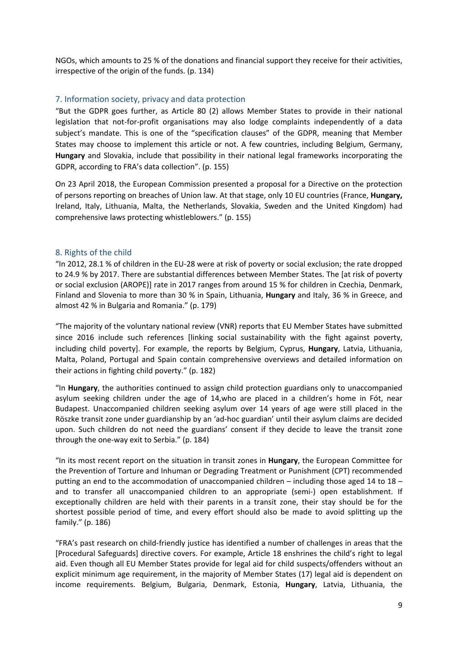<span id="page-8-0"></span>NGOs, which amounts to 25 % of the donations and financial support they receive for their activities, irrespective of the origin of the funds. (p. 134)

#### 7. Information society, privacy and data protection

"But the GDPR goes further, as Article 80 (2) allows Member States to provide in their national legislation that not-for-profit organisations may also lodge complaints independently of <sup>a</sup> data subject'<sup>s</sup> mandate. This is one of the "specification clauses" of the GDPR, meaning that Member States may choose to implement this article or not. A few countries, including Belgium, Germany, **Hungary** and Slovakia, include that possibility in their national legal frameworks incorporating the GDPR, according to FRA'<sup>s</sup> data collection". (p. 155)

On 23 April 2018, the European Commission presented <sup>a</sup> proposal for <sup>a</sup> Directive on the protection of persons reporting on breaches of Union law. At that stage, only 10 EU countries (France, **Hungary,** Ireland, Italy, Lithuania, Malta, the Netherlands, Slovakia, Sweden and the United Kingdom) had comprehensive laws protecting whistleblowers." (p. 155)

#### 8. Rights of the child

"In 2012, 28.1 % of children in the EU-28 were at risk of poverty or social exclusion; the rate dropped to 24.9 % by 2017. There are substantial differences between Member States. The [at risk of poverty or social exclusion (AROPE)] rate in 2017 ranges from around 15 % for children in Czechia, Denmark, Finland and Slovenia to more than 30 % in Spain, Lithuania, **Hungary** and Italy, 36 % in Greece, and almost 42 % in Bulgaria and Romania." (p. 179)

"The majority of the voluntary national review (VNR) reports that EU Member States have submitted since 2016 include such references [linking social sustainability with the fight against poverty, including child poverty]. For example, the reports by Belgium, Cyprus, **Hungary**, Latvia, Lithuania, Malta, Poland, Portugal and Spain contain comprehensive overviews and detailed information on their actions in fighting child poverty." (p. 182)

"In **Hungary**, the authorities continued to assign child protection guardians only to unaccompanied asylum seeking children under the age of 14,who are placed in <sup>a</sup> children'<sup>s</sup> home in Fót, near Budapest. Unaccompanied children seeking asylum over 14 years of age were still placed in the Röszke transit zone under guardianship by an 'ad-hoc guardian' until their asylum claims are decided upon. Such children do not need the guardians' consent if they decide to leave the transit zone through the one-way exit to Serbia." (p. 184)

"In its most recent report on the situation in transit zones in **Hungary**, the European Committee for the Prevention of Torture and Inhuman or Degrading Treatment or Punishment (CPT) recommended putting an end to the accommodation of unaccompanied children – including those aged 14 to 18 – and to transfer all unaccompanied children to an appropriate (semi-) open establishment. If exceptionally children are held with their parents in <sup>a</sup> transit zone, their stay should be for the shortest possible period of time, and every effort should also be made to avoid splitting up the family." (p. 186)

"FRA'<sup>s</sup> past research on child-friendly justice has identified <sup>a</sup> number of challenges in areas that the [Procedural Safeguards] directive covers. For example, Article 18 enshrines the child'<sup>s</sup> right to legal aid. Even though all EU Member States provide for legal aid for child suspects/offenders without an explicit minimum age requirement, in the majority of Member States (17) legal aid is dependent on income requirements. Belgium, Bulgaria, Denmark, Estonia, **Hungary**, Latvia, Lithuania, the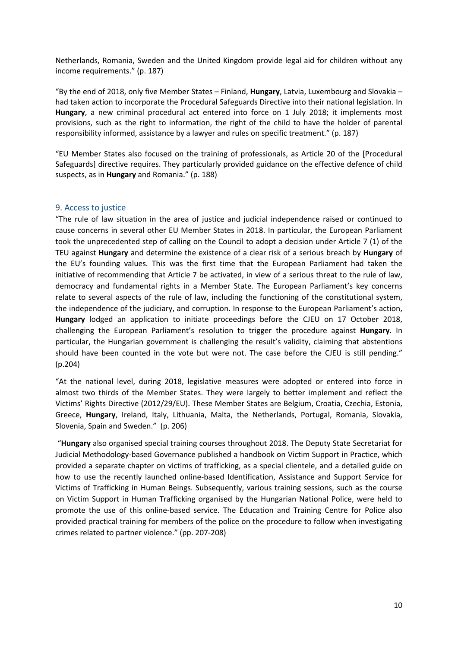<span id="page-9-0"></span>Netherlands, Romania, Sweden and the United Kingdom provide legal aid for children without any income requirements." (p. 187)

"By the end of 2018, only five Member States – Finland, **Hungary**, Latvia, Luxembourg and Slovakia – had taken action to incorporate the Procedural Safeguards Directive into their national legislation. In **Hungary**, <sup>a</sup> new criminal procedural act entered into force on 1 July 2018; it implements most provisions, such as the right to information, the right of the child to have the holder of parental responsibility informed, assistance by <sup>a</sup> lawyer and rules on specific treatment." (p. 187)

"EU Member States also focused on the training of professionals, as Article 20 of the [Procedural Safeguards] directive requires. They particularly provided guidance on the effective defence of child suspects, as in **Hungary** and Romania." (p. 188)

#### 9. Access to justice

"The rule of law situation in the area of justice and judicial independence raised or continued to cause concerns in several other EU Member States in 2018. In particular, the European Parliament took the unprecedented step of calling on the Council to adopt <sup>a</sup> decision under Article 7 (1) of the TEU against **Hungary** and determine the existence of <sup>a</sup> clear risk of <sup>a</sup> serious breach by **Hungary** of the EU'<sup>s</sup> founding values. This was the first time that the European Parliament had taken the initiative of recommending that Article 7 be activated, in view of <sup>a</sup> serious threat to the rule of law, democracy and fundamental rights in <sup>a</sup> Member State. The European Parliament'<sup>s</sup> key concerns relate to several aspects of the rule of law, including the functioning of the constitutional system, the independence of the judiciary, and corruption. In response to the European Parliament'<sup>s</sup> action, **Hungary** lodged an application to initiate proceedings before the CJEU on 17 October 2018, challenging the European Parliament'<sup>s</sup> resolution to trigger the procedure against **Hungary**. In particular, the Hungarian government is challenging the result'<sup>s</sup> validity, claiming that abstentions should have been counted in the vote but were not. The case before the CJEU is still pending." (p.204)

"At the national level, during 2018, legislative measures were adopted or entered into force in almost two thirds of the Member States. They were largely to better implement and reflect the Victims' Rights Directive (2012/29/EU). These Member States are Belgium, Croatia, Czechia, Estonia, Greece, **Hungary**, Ireland, Italy, Lithuania, Malta, the Netherlands, Portugal, Romania, Slovakia, Slovenia, Spain and Sweden." (p. 206)

"**Hungary** also organised special training courses throughout 2018. The Deputy State Secretariat for Judicial Methodology-based Governance published <sup>a</sup> handbook on Victim Support in Practice, which provided <sup>a</sup> separate chapter on victims of trafficking, as <sup>a</sup> special clientele, and <sup>a</sup> detailed guide on how to use the recently launched online-based Identification, Assistance and Support Service for Victims of Trafficking in Human Beings. Subsequently, various training sessions, such as the course on Victim Support in Human Trafficking organised by the Hungarian National Police, were held to promote the use of this online-based service. The Education and Training Centre for Police also provided practical training for members of the police on the procedure to follow when investigating crimes related to partner violence." (pp. 207-208)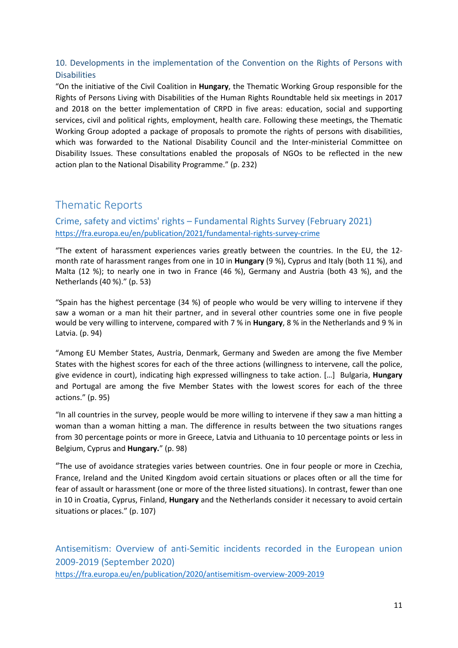## <span id="page-10-0"></span>10. Developments in the implementation of the Convention on the Rights of Persons with **Disabilities**

"On the initiative of the Civil Coalition in **Hungary**, the Thematic Working Group responsible for the Rights of Persons Living with Disabilities of the Human Rights Roundtable held six meetings in 2017 and 2018 on the better implementation of CRPD in five areas: education, social and supporting services, civil and political rights, employment, health care. Following these meetings, the Thematic Working Group adopted <sup>a</sup> package of proposals to promote the rights of persons with disabilities, which was forwarded to the National Disability Council and the Inter-ministerial Committee on Disability Issues. These consultations enabled the proposals of NGOs to be reflected in the new action plan to the National Disability Programme." (p. 232)

## Thematic Reports

Crime, safety and victims' rights – Fundamental Rights Survey (February 2021) <https://fra.europa.eu/en/publication/2021/fundamental-rights-survey-crime>

"The extent of harassment experiences varies greatly between the countries. In the EU, the 12 month rate of harassment ranges from one in 10 in **Hungary** (9 %), Cyprus and Italy (both 11 %), and Malta (12 %); to nearly one in two in France (46 %), Germany and Austria (both 43 %), and the Netherlands (40 %)." (p. 53)

"Spain has the highest percentage (34 %) of people who would be very willing to intervene if they saw <sup>a</sup> woman or <sup>a</sup> man hit their partner, and in several other countries some one in five people would be very willing to intervene, compared with 7 % in **Hungary**, 8 % in the Netherlands and 9 % in Latvia. (p. 94)

"Among EU Member States, Austria, Denmark, Germany and Sweden are among the five Member States with the highest scores for each of the three actions (willingness to intervene, call the police, give evidence in court), indicating high expressed willingness to take action. […] Bulgaria, **Hungary** and Portugal are among the five Member States with the lowest scores for each of the three actions." (p. 95)

"In all countries in the survey, people would be more willing to intervene if they saw <sup>a</sup> man hitting <sup>a</sup> woman than <sup>a</sup> woman hitting <sup>a</sup> man. The difference in results between the two situations ranges from 30 percentage points or more in Greece, Latvia and Lithuania to 10 percentage points or less in Belgium, Cyprus and **Hungary.**" (p. 98)

"The use of avoidance strategies varies between countries. One in four people or more in Czechia, France, Ireland and the United Kingdom avoid certain situations or places often or all the time for fear of assault or harassment (one or more of the three listed situations). In contrast, fewer than one in 10 in Croatia, Cyprus, Finland, **Hungary** and the Netherlands consider it necessary to avoid certain situations or places." (p. 107)

Antisemitism: Overview of anti-Semitic incidents recorded in the European union 2009-2019 (September 2020) <https://fra.europa.eu/en/publication/2020/antisemitism-overview-2009-2019>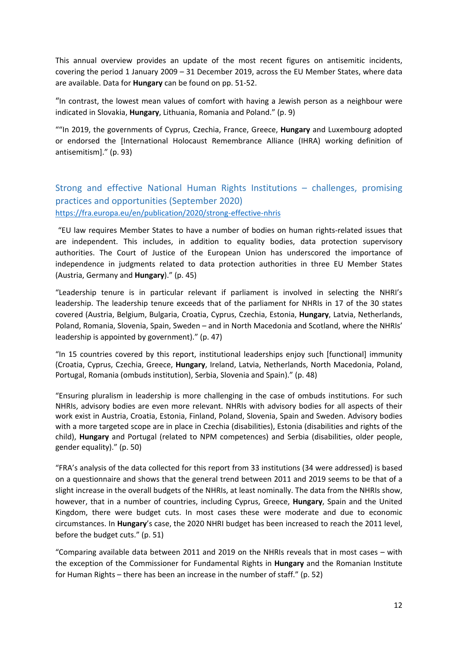<span id="page-11-0"></span>This annual overview provides an update of the most recent figures on antisemitic incidents, covering the period 1 January 2009 – 31 December 2019, across the EU Member States, where data are available. Data for **Hungary** can be found on pp. 51-52.

"In contrast, the lowest mean values of comfort with having <sup>a</sup> Jewish person as <sup>a</sup> neighbour were indicated in Slovakia, **Hungary**, Lithuania, Romania and Poland." (p. 9)

""In 2019, the governments of Cyprus, Czechia, France, Greece, **Hungary** and Luxembourg adopted or endorsed the [International Holocaust Remembrance Alliance (IHRA) working definition of antisemitism]." (p. 93)

## Strong and effective National Human Rights Institutions – challenges, promising practices and opportunities (September 2020) <https://fra.europa.eu/en/publication/2020/strong-effective-nhris>

"EU law requires Member States to have <sup>a</sup> number of bodies on human rights-related issues that are independent. This includes, in addition to equality bodies, data protection supervisory authorities. The Court of Justice of the European Union has underscored the importance of independence in judgments related to data protection authorities in three EU Member States (Austria, Germany and **Hungary**)." (p. 45)

"Leadership tenure is in particular relevant if parliament is involved in selecting the NHRI'<sup>s</sup> leadership. The leadership tenure exceeds that of the parliament for NHRIs in 17 of the 30 states covered (Austria, Belgium, Bulgaria, Croatia, Cyprus, Czechia, Estonia, **Hungary**, Latvia, Netherlands, Poland, Romania, Slovenia, Spain, Sweden – and in North Macedonia and Scotland, where the NHRIs' leadership is appointed by government)." (p. 47)

"In 15 countries covered by this report, institutional leaderships enjoy such [functional] immunity (Croatia, Cyprus, Czechia, Greece, **Hungary**, Ireland, Latvia, Netherlands, North Macedonia, Poland, Portugal, Romania (ombuds institution), Serbia, Slovenia and Spain)." (p. 48)

"Ensuring pluralism in leadership is more challenging in the case of ombuds institutions. For such NHRIs, advisory bodies are even more relevant. NHRIs with advisory bodies for all aspects of their work exist in Austria, Croatia, Estonia, Finland, Poland, Slovenia, Spain and Sweden. Advisory bodies with a more targeted scope are in place in Czechia (disabilities), Estonia (disabilities and rights of the child), **Hungary** and Portugal (related to NPM competences) and Serbia (disabilities, older people, gender equality)." (p. 50)

"FRA'<sup>s</sup> analysis of the data collected for this report from 33 institutions (34 were addressed) is based on <sup>a</sup> questionnaire and shows that the general trend between 2011 and 2019 seems to be that of <sup>a</sup> slight increase in the overall budgets of the NHRIs, at least nominally. The data from the NHRIs show, however, that in <sup>a</sup> number of countries, including Cyprus, Greece, **Hungary**, Spain and the United Kingdom, there were budget cuts. In most cases these were moderate and due to economic circumstances. In **Hungary**'<sup>s</sup> case, the 2020 NHRI budget has been increased to reach the 2011 level, before the budget cuts." (p. 51)

"Comparing available data between 2011 and 2019 on the NHRIs reveals that in most cases – with the exception of the Commissioner for Fundamental Rights in **Hungary** and the Romanian Institute for Human Rights – there has been an increase in the number of staff." (p. 52)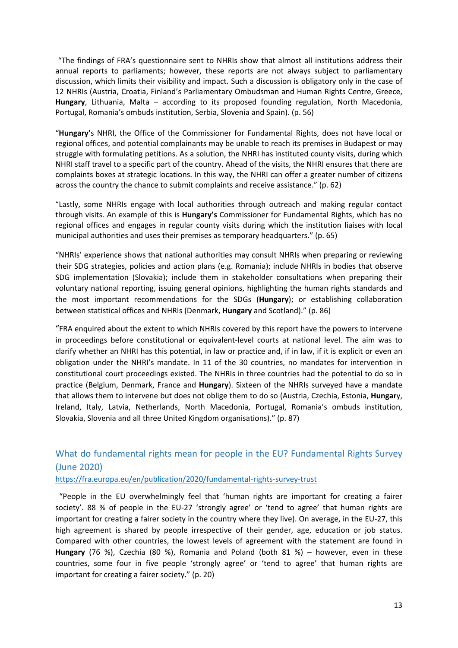<span id="page-12-0"></span>"The findings of FRA'<sup>s</sup> questionnaire sent to NHRIs show that almost all institutions address their annual reports to parliaments; however, these reports are not always subject to parliamentary discussion, which limits their visibility and impact. Such <sup>a</sup> discussion is obligatory only in the case of 12 NHRIs (Austria, Croatia, Finland'<sup>s</sup> Parliamentary Ombudsman and Human Rights Centre, Greece, **Hungary**, Lithuania, Malta – according to its proposed founding regulation, North Macedonia, Portugal, Romania'<sup>s</sup> ombuds institution, Serbia, Slovenia and Spain). (p. 56)

"**Hungary'**<sup>s</sup> NHRI, the Office of the Commissioner for Fundamental Rights, does not have local or regional offices, and potential complainants may be unable to reach its premises in Budapest or may struggle with formulating petitions. As <sup>a</sup> solution, the NHRI has instituted county visits, during which NHRI staff travel to <sup>a</sup> specific part of the country. Ahead of the visits, the NHRI ensures that there are complaints boxes at strategic locations. In this way, the NHRI can offer <sup>a</sup> greater number of citizens across the country the chance to submit complaints and receive assistance." (p. 62)

"Lastly, some NHRIs engage with local authorities through outreach and making regular contact through visits. An example of this is **Hungary'<sup>s</sup>** Commissioner for Fundamental Rights, which has no regional offices and engages in regular county visits during which the institution liaises with local municipal authorities and uses their premises as temporary headquarters." (p. 65)

"NHRIs' experience shows that national authorities may consult NHRIs when preparing or reviewing their SDG strategies, policies and action plans (e.g. Romania); include NHRIs in bodies that observe SDG implementation (Slovakia); include them in stakeholder consultations when preparing their voluntary national reporting, issuing general opinions, highlighting the human rights standards and the most important recommendations for the SDGs (**Hungary**); or establishing collaboration between statistical offices and NHRIs (Denmark, **Hungary** and Scotland)." (p. 86)

"FRA enquired about the extent to which NHRIs covered by this report have the powers to intervene in proceedings before constitutional or equivalent-level courts at national level. The aim was to clarify whether an NHRI has this potential, in law or practice and, if in law, if it is explicit or even an obligation under the NHRI'<sup>s</sup> mandate. In 11 of the 30 countries, no mandates for intervention in constitutional court proceedings existed. The NHRIs in three countries had the potential to do so in practice (Belgium, Denmark, France and **Hungary**). Sixteen of the NHRIs surveyed have <sup>a</sup> mandate that allows them to intervene but does not oblige them to do so (Austria, Czechia, Estonia, **Hungar**y, Ireland, Italy, Latvia, Netherlands, North Macedonia, Portugal, Romania'<sup>s</sup> ombuds institution, Slovakia, Slovenia and all three United Kingdom organisations)." (p. 87)

## What do fundamental rights mean for people in the EU? Fundamental Rights Survey (June 2020)

<https://fra.europa.eu/en/publication/2020/fundamental-rights-survey-trust>

"People in the EU overwhelmingly feel that 'human rights are important for creating <sup>a</sup> fairer society'. 88 % of people in the EU-27 'strongly agree' or 'tend to agree' that human rights are important for creating <sup>a</sup> fairer society in the country where they live). On average, in the EU-27, this high agreement is shared by people irrespective of their gender, age, education or job status. Compared with other countries, the lowest levels of agreement with the statement are found in **Hungary** (76 %), Czechia (80 %), Romania and Poland (both 81 %) – however, even in these countries, some four in five people 'strongly agree' or 'tend to agree' that human rights are important for creating <sup>a</sup> fairer society." (p. 20)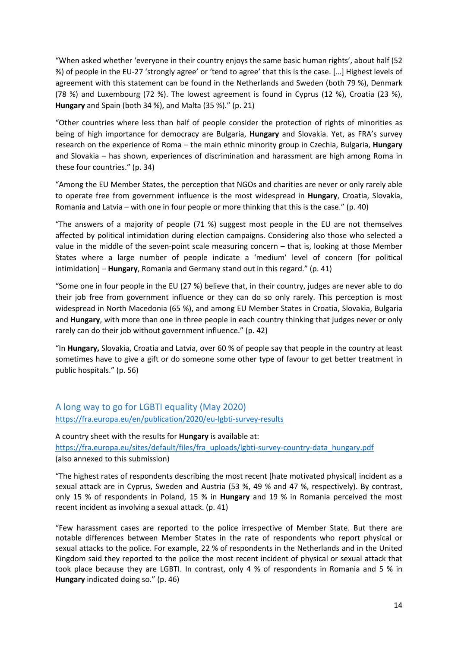<span id="page-13-0"></span>"When asked whether 'everyone in their country enjoys the same basic human rights', about half (52 %) of people in the EU-27 'strongly agree' or 'tend to agree' that this is the case. […] Highest levels of agreement with this statement can be found in the Netherlands and Sweden (both 79 %), Denmark (78 %) and Luxembourg (72 %). The lowest agreement is found in Cyprus (12 %), Croatia (23 %), **Hungary** and Spain (both 34 %), and Malta (35 %)." (p. 21)

"Other countries where less than half of people consider the protection of rights of minorities as being of high importance for democracy are Bulgaria, **Hungary** and Slovakia. Yet, as FRA'<sup>s</sup> survey research on the experience of Roma – the main ethnic minority group in Czechia, Bulgaria, **Hungary** and Slovakia – has shown, experiences of discrimination and harassment are high among Roma in these four countries." (p. 34)

"Among the EU Member States, the perception that NGOs and charities are never or only rarely able to operate free from government influence is the most widespread in **Hungary**, Croatia, Slovakia, Romania and Latvia – with one in four people or more thinking that this is the case." (p. 40)

"The answers of <sup>a</sup> majority of people (71 %) suggest most people in the EU are not themselves affected by political intimidation during election campaigns. Considering also those who selected <sup>a</sup> value in the middle of the seven-point scale measuring concern – that is, looking at those Member States where <sup>a</sup> large number of people indicate <sup>a</sup> 'medium' level of concern [for political intimidation] – **Hungary**, Romania and Germany stand out in this regard." (p. 41)

"Some one in four people in the EU (27 %) believe that, in their country, judges are never able to do their job free from government influence or they can do so only rarely. This perception is most widespread in North Macedonia (65 %), and among EU Member States in Croatia, Slovakia, Bulgaria and **Hungary**, with more than one in three people in each country thinking that judges never or only rarely can do their job without government influence." (p. 42)

"In **Hungary,** Slovakia, Croatia and Latvia, over 60 % of people say that people in the country at least sometimes have to give <sup>a</sup> gift or do someone some other type of favour to get better treatment in public hospitals." (p. 56)

A long way to go for LGBTI equality (May 2020) <https://fra.europa.eu/en/publication/2020/eu-lgbti-survey-results>

A country sheet with the results for **Hungary** is available at: [https://fra.europa.eu/sites/default/files/fra\\_uploads/lgbti-survey-country-data\\_hungary.pdf](https://fra.europa.eu/sites/default/files/fra_uploads/lgbti-survey-country-data_hungary.pdf) (also annexed to this submission)

"The highest rates of respondents describing the most recent [hate motivated physical] incident as <sup>a</sup> sexual attack are in Cyprus, Sweden and Austria (53 %, 49 % and 47 %, respectively). By contrast, only 15 % of respondents in Poland, 15 % in **Hungary** and 19 % in Romania perceived the most recent incident as involving <sup>a</sup> sexual attack. (p. 41)

"Few harassment cases are reported to the police irrespective of Member State. But there are notable differences between Member States in the rate of respondents who report physical or sexual attacks to the police. For example, 22 % of respondents in the Netherlands and in the United Kingdom said they reported to the police the most recent incident of physical or sexual attack that took place because they are LGBTI. In contrast, only 4 % of respondents in Romania and 5 % in **Hungary** indicated doing so." (p. 46)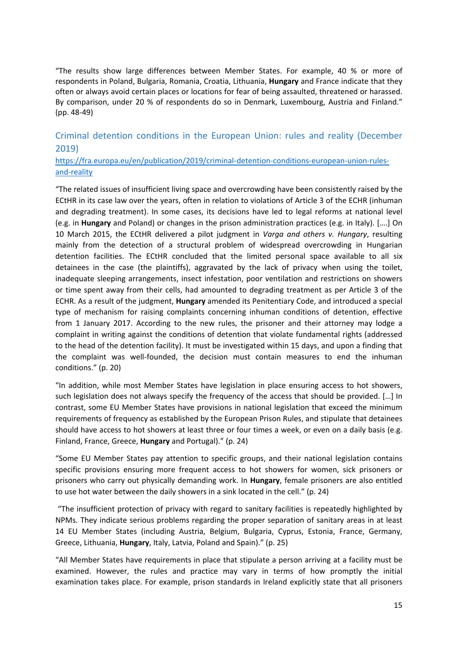<span id="page-14-0"></span>"The results show large differences between Member States. For example, 40 % or more of respondents in Poland, Bulgaria, Romania, Croatia, Lithuania, **Hungary** and France indicate that they often or always avoid certain places or locations for fear of being assaulted, threatened or harassed. By comparison, under 20 % of respondents do so in Denmark, Luxembourg, Austria and Finland." (pp. 48-49)

## Criminal detention conditions in the European Union: rules and reality (December 2019)

[https://fra.europa.eu/en/publication/2019/criminal-detention-conditions-european-union-rules](https://fra.europa.eu/en/publication/2019/criminal-detention-conditions-european-union-rules-and-reality)[and-reality](https://fra.europa.eu/en/publication/2019/criminal-detention-conditions-european-union-rules-and-reality)

"The related issues of insufficient living space and overcrowding have been consistently raised by the ECtHR in its case law over the years, often in relation to violations of Article 3 of the ECHR (inhuman and degrading treatment). In some cases, its decisions have led to legal reforms at national level (e.g. in **Hungary** and Poland) or changes in the prison administration practices (e.g. in Italy). [….] On 10 March 2015, the ECtHR delivered <sup>a</sup> pilot judgment in *Varga and others v. Hungary*, resulting mainly from the detection of <sup>a</sup> structural problem of widespread overcrowding in Hungarian detention facilities. The ECtHR concluded that the limited personal space available to all six detainees in the case (the plaintiffs), aggravated by the lack of privacy when using the toilet, inadequate sleeping arrangements, insect infestation, poor ventilation and restrictions on showers or time spent away from their cells, had amounted to degrading treatment as per Article 3 of the ECHR. As <sup>a</sup> result of the judgment, **Hungary** amended its Penitentiary Code, and introduced <sup>a</sup> special type of mechanism for raising complaints concerning inhuman conditions of detention, effective from 1 January 2017. According to the new rules, the prisoner and their attorney may lodge <sup>a</sup> complaint in writing against the conditions of detention that violate fundamental rights (addressed to the head of the detention facility). It must be investigated within 15 days, and upon <sup>a</sup> finding that the complaint was well-founded, the decision must contain measures to end the inhuman conditions." (p. 20)

"In addition, while most Member States have legislation in place ensuring access to hot showers, such legislation does not always specify the frequency of the access that should be provided. […] In contrast, some EU Member States have provisions in national legislation that exceed the minimum requirements of frequency as established by the European Prison Rules, and stipulate that detainees should have access to hot showers at least three or four times <sup>a</sup> week, or even on <sup>a</sup> daily basis (e.g. Finland, France, Greece, **Hungary** and Portugal)." (p. 24)

"Some EU Member States pay attention to specific groups, and their national legislation contains specific provisions ensuring more frequent access to hot showers for women, sick prisoners or prisoners who carry out physically demanding work. In **Hungary**, female prisoners are also entitled to use hot water between the daily showers in <sup>a</sup> sink located in the cell." (p. 24)

"The insufficient protection of privacy with regard to sanitary facilities is repeatedly highlighted by NPMs. They indicate serious problems regarding the proper separation of sanitary areas in at least 14 EU Member States (including Austria, Belgium, Bulgaria, Cyprus, Estonia, France, Germany, Greece, Lithuania, **Hungary**, Italy, Latvia, Poland and Spain)." (p. 25)

"All Member States have requirements in place that stipulate <sup>a</sup> person arriving at <sup>a</sup> facility must be examined. However, the rules and practice may vary in terms of how promptly the initial examination takes place. For example, prison standards in Ireland explicitly state that all prisoners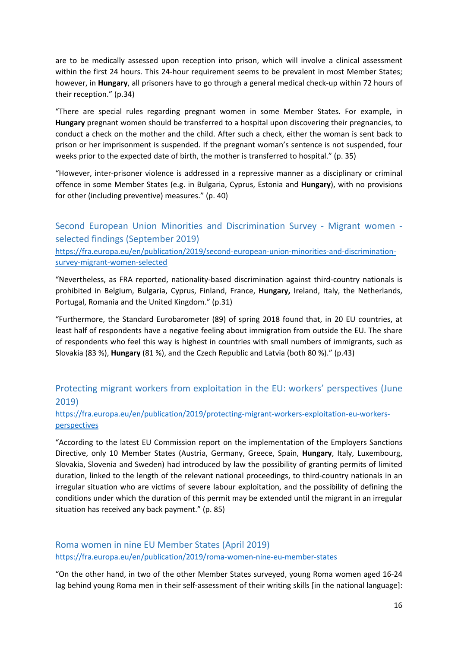<span id="page-15-0"></span>are to be medically assessed upon reception into prison, which will involve <sup>a</sup> clinical assessment within the first 24 hours. This 24-hour requirement seems to be prevalent in most Member States; however, in **Hungary**, all prisoners have to go through <sup>a</sup> general medical check-up within 72 hours of their reception." (p.34)

"There are special rules regarding pregnant women in some Member States. For example, in **Hungary** pregnant women should be transferred to <sup>a</sup> hospital upon discovering their pregnancies, to conduct <sup>a</sup> check on the mother and the child. After such <sup>a</sup> check, either the woman is sent back to prison or her imprisonment is suspended. If the pregnant woman'<sup>s</sup> sentence is not suspended, four weeks prior to the expected date of birth, the mother is transferred to hospital." (p. 35)

"However, inter-prisoner violence is addressed in <sup>a</sup> repressive manner as <sup>a</sup> disciplinary or criminal offence in some Member States (e.g. in Bulgaria, Cyprus, Estonia and **Hungary**), with no provisions for other (including preventive) measures." (p. 40)

Second European Union Minorities and Discrimination Survey - Migrant women selected findings (September 2019)

[https://fra.europa.eu/en/publication/2019/second-european-union-minorities-and-discrimination](https://fra.europa.eu/en/publication/2019/second-european-union-minorities-and-discrimination-survey-migrant-women-selected)[survey-migrant-women-selected](https://fra.europa.eu/en/publication/2019/second-european-union-minorities-and-discrimination-survey-migrant-women-selected)

"Nevertheless, as FRA reported, nationality-based discrimination against third-country nationals is prohibited in Belgium, Bulgaria, Cyprus, Finland, France, **Hungary,** Ireland, Italy, the Netherlands, Portugal, Romania and the United Kingdom." (p.31)

"Furthermore, the Standard Eurobarometer (89) of spring 2018 found that, in 20 EU countries, at least half of respondents have <sup>a</sup> negative feeling about immigration from outside the EU. The share of respondents who feel this way is highest in countries with small numbers of immigrants, such as Slovakia (83 %), **Hungary** (81 %), and the Czech Republic and Latvia (both 80 %)." (p.43)

## Protecting migrant workers from exploitation in the EU: workers' perspectives (June 2019)

#### [https://fra.europa.eu/en/publication/2019/protecting-migrant-workers-exploitation-eu-workers](https://fra.europa.eu/en/publication/2019/protecting-migrant-workers-exploitation-eu-workers-perspectives)[perspectives](https://fra.europa.eu/en/publication/2019/protecting-migrant-workers-exploitation-eu-workers-perspectives)

"According to the latest EU Commission report on the implementation of the Employers Sanctions Directive, only 10 Member States (Austria, Germany, Greece, Spain, **Hungary**, Italy, Luxembourg, Slovakia, Slovenia and Sweden) had introduced by law the possibility of granting permits of limited duration, linked to the length of the relevant national proceedings, to third-country nationals in an irregular situation who are victims of severe labour exploitation, and the possibility of defining the conditions under which the duration of this permit may be extended until the migrant in an irregular situation has received any back payment." (p. 85)

### Roma women in nine EU Member States (April 2019) <https://fra.europa.eu/en/publication/2019/roma-women-nine-eu-member-states>

"On the other hand, in two of the other Member States surveyed, young Roma women aged 16-24 lag behind young Roma men in their self-assessment of their writing skills [in the national language]: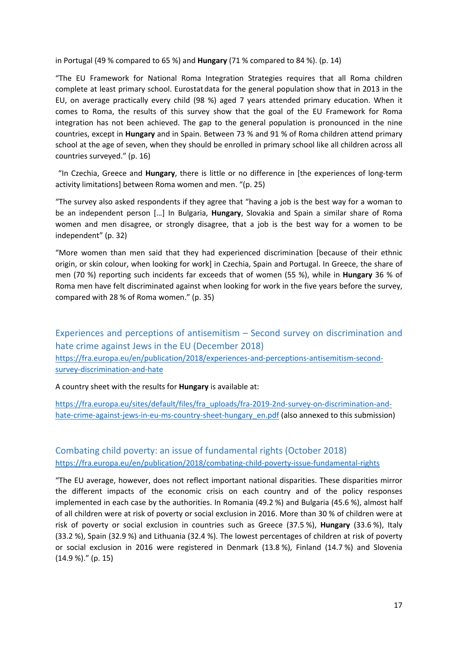<span id="page-16-0"></span>in Portugal (49 % compared to 65 %) and **Hungary** (71 % compared to 84 %). (p. 14)

"The EU Framework for National Roma Integration Strategies requires that all Roma children complete at least primary school. Eurostat.data for the general population show that in 2013 in the EU, on average practically every child (98 %) aged 7 years attended primary education. When it comes to Roma, the results of this survey show that the goal of the EU Framework for Roma integration has not been achieved. The gap to the general population is pronounced in the nine countries, except in **Hungary** and in Spain. Between 73 % and 91 % of Roma children attend primary school at the age of seven, when they should be enrolled in primary school like all children across all countries surveyed." (p. 16)

"In Czechia, Greece and **Hungary**, there is little or no difference in [the experiences of long-term activity limitations] between Roma women and men. "(p. 25)

"The survey also asked respondents if they agree that "having <sup>a</sup> job is the best way for <sup>a</sup> woman to be an independent person […] In Bulgaria, **Hungary**, Slovakia and Spain <sup>a</sup> similar share of Roma women and men disagree, or strongly disagree, that <sup>a</sup> job is the best way for <sup>a</sup> women to be independent" (p. 32)

"More women than men said that they had experienced discrimination [because of their ethnic origin, or skin colour, when looking for work] in Czechia, Spain and Portugal. In Greece, the share of men (70 %) reporting such incidents far exceeds that of women (55 %), while in **Hungary** 36 % of Roma men have felt discriminated against when looking for work in the five years before the survey, compared with 28 % of Roma women." (p. 35)

Experiences and perceptions of antisemitism – Second survey on discrimination and hate crime against Jews in the EU (December 2018) [https://fra.europa.eu/en/publication/2018/experiences-and-perceptions-antisemitism-second](https://fra.europa.eu/en/publication/2018/experiences-and-perceptions-antisemitism-second-survey-discrimination-and-hate)[survey-discrimination-and-hate](https://fra.europa.eu/en/publication/2018/experiences-and-perceptions-antisemitism-second-survey-discrimination-and-hate)

A country sheet with the results for **Hungary** is available at:

[https://fra.europa.eu/sites/default/files/fra\\_uploads/fra-2019-2nd-survey-on-discrimination-and](https://fra.europa.eu/sites/default/files/fra_uploads/fra-2019-2nd-survey-on-discrimination-and-hate-crime-against-jews-in-eu-ms-country-sheet-hungary_en.pdf)[hate-crime-against-jews-in-eu-ms-country-sheet-hungary\\_en.pdf](https://fra.europa.eu/sites/default/files/fra_uploads/fra-2019-2nd-survey-on-discrimination-and-hate-crime-against-jews-in-eu-ms-country-sheet-hungary_en.pdf) (also annexed to this submission)

## Combating child poverty: an issue of fundamental rights (October 2018) <https://fra.europa.eu/en/publication/2018/combating-child-poverty-issue-fundamental-rights>

"The EU average, however, does not reflect important national disparities. These disparities mirror the different impacts of the economic crisis on each country and of the policy responses implemented in each case by the authorities. In Romania (49.2 %) and Bulgaria (45.6 %), almost half of all children were at risk of poverty or social exclusion in 2016. More than 30 % of children were at risk of poverty or social exclusion in countries such as Greece (37.5 %), **Hungary** (33.6 %), Italy (33.2 %), Spain (32.9 %) and Lithuania (32.4 %). The lowest percentages of children at risk of poverty or social exclusion in 2016 were registered in Denmark (13.8 %), Finland (14.7 %) and Slovenia (14.9 %)." (p. 15)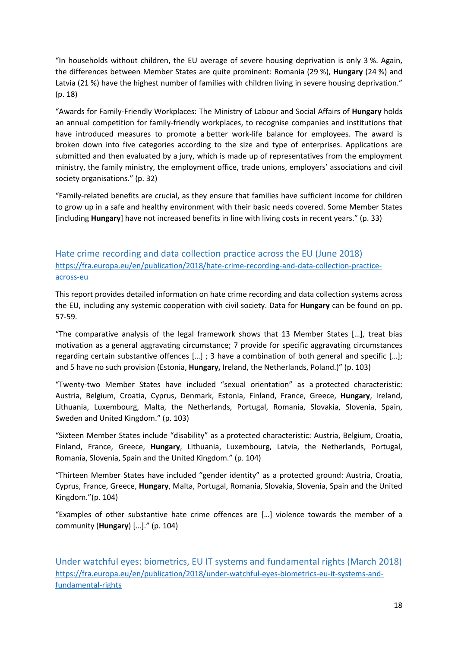<span id="page-17-0"></span>"In households without children, the EU average of severe housing deprivation is only 3 %. Again, the differences between Member States are quite prominent: Romania (29 %), **Hungary** (24 %) and Latvia (21 %) have the highest number of families with children living in severe housing deprivation." (p. 18)

"Awards for Family-Friendly Workplaces: The Ministry of Labour and Social Affairs of **Hungary** holds an annual competition for family-friendly workplaces, to recognise companies and institutions that have introduced measures to promote <sup>a</sup> better work-life balance for employees. The award is broken down into five categories according to the size and type of enterprises. Applications are submitted and then evaluated by <sup>a</sup> jury, which is made up of representatives from the employment ministry, the family ministry, the employment office, trade unions, employers' associations and civil society organisations." (p. 32)

"Family-related benefits are crucial, as they ensure that families have sufficient income for children to grow up in <sup>a</sup> safe and healthy environment with their basic needs covered. Some Member States [including **Hungary**] have not increased benefits in line with living costs in recent years." (p. 33)

## Hate crime recording and data collection practice across the EU (June 2018) [https://fra.europa.eu/en/publication/2018/hate-crime-recording-and-data-collection-practice](https://fra.europa.eu/en/publication/2018/hate-crime-recording-and-data-collection-practice-across-eu)[across-eu](https://fra.europa.eu/en/publication/2018/hate-crime-recording-and-data-collection-practice-across-eu)

This report provides detailed information on hate crime recording and data collection systems across the EU, including any systemic cooperation with civil society. Data for **Hungary** can be found on pp. 57-59.

"The comparative analysis of the legal framework shows that 13 Member States […], treat bias motivation as <sup>a</sup> general aggravating circumstance; 7 provide for specific aggravating circumstances regarding certain substantive offences […] ; 3 have <sup>a</sup> combination of both general and specific […]; and 5 have no such provision (Estonia, **Hungary,** Ireland, the Netherlands, Poland.)" (p. 103)

"Twenty-two Member States have included "sexual orientation" as <sup>a</sup> protected characteristic: Austria, Belgium, Croatia, Cyprus, Denmark, Estonia, Finland, France, Greece, **Hungary**, Ireland, Lithuania, Luxembourg, Malta, the Netherlands, Portugal, Romania, Slovakia, Slovenia, Spain, Sweden and United Kingdom." (p. 103)

"Sixteen Member States include "disability" as <sup>a</sup> protected characteristic: Austria, Belgium, Croatia, Finland, France, Greece, **Hungary**, Lithuania, Luxembourg, Latvia, the Netherlands, Portugal, Romania, Slovenia, Spain and the United Kingdom." (p. 104)

"Thirteen Member States have included "gender identity" as <sup>a</sup> protected ground: Austria, Croatia, Cyprus, France, Greece, **Hungary**, Malta, Portugal, Romania, Slovakia, Slovenia, Spain and the United Kingdom."(p. 104)

"Examples of other substantive hate crime offences are […] violence towards the member of <sup>a</sup> community (**Hungary**) […]." (p. 104)

Under watchful eyes: biometrics, EU IT systems and fundamental rights (March 2018) [https://fra.europa.eu/en/publication/2018/under-watchful-eyes-biometrics-eu-it-systems-and](https://fra.europa.eu/en/publication/2018/under-watchful-eyes-biometrics-eu-it-systems-and-fundamental-rights)[fundamental-rights](https://fra.europa.eu/en/publication/2018/under-watchful-eyes-biometrics-eu-it-systems-and-fundamental-rights)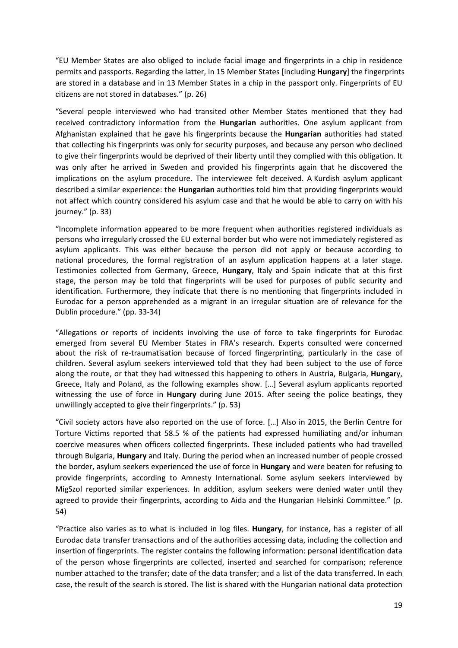"EU Member States are also obliged to include facial image and fingerprints in <sup>a</sup> chip in residence permits and passports. Regarding the latter, in 15 Member States [including **Hungary**] the fingerprints are stored in <sup>a</sup> database and in 13 Member States in <sup>a</sup> chip in the passport only. Fingerprints of EU citizens are not stored in databases." (p. 26)

"Several people interviewed who had transited other Member States mentioned that they had received contradictory information from the **Hungarian** authorities. One asylum applicant from Afghanistan explained that he gave his fingerprints because the **Hungarian** authorities had stated that collecting his fingerprints was only for security purposes, and because any person who declined to give their fingerprints would be deprived of their liberty until they complied with this obligation. It was only after he arrived in Sweden and provided his fingerprints again that he discovered the implications on the asylum procedure. The interviewee felt deceived. A Kurdish asylum applicant described <sup>a</sup> similar experience: the **Hungarian** authorities told him that providing fingerprints would not affect which country considered his asylum case and that he would be able to carry on with his journey." (p. 33)

"Incomplete information appeared to be more frequent when authorities registered individuals as persons who irregularly crossed the EU external border but who were not immediately registered as asylum applicants. This was either because the person did not apply or because according to national procedures, the formal registration of an asylum application happens at <sup>a</sup> later stage. Testimonies collected from Germany, Greece, **Hungary**, Italy and Spain indicate that at this first stage, the person may be told that fingerprints will be used for purposes of public security and identification. Furthermore, they indicate that there is no mentioning that fingerprints included in Eurodac for <sup>a</sup> person apprehended as <sup>a</sup> migrant in an irregular situation are of relevance for the Dublin procedure." (pp. 33-34)

"Allegations or reports of incidents involving the use of force to take fingerprints for Eurodac emerged from several EU Member States in FRA'<sup>s</sup> research. Experts consulted were concerned about the risk of re-traumatisation because of forced fingerprinting, particularly in the case of children. Several asylum seekers interviewed told that they had been subject to the use of force along the route, or that they had witnessed this happening to others in Austria, Bulgaria, **Hungar**y, Greece, Italy and Poland, as the following examples show. […] Several asylum applicants reported witnessing the use of force in **Hungary** during June 2015. After seeing the police beatings, they unwillingly accepted to give their fingerprints." (p. 53)

"Civil society actors have also reported on the use of force. […] Also in 2015, the Berlin Centre for Torture Victims reported that 58.5 % of the patients had expressed humiliating and/or inhuman coercive measures when officers collected fingerprints. These included patients who had travelled through Bulgaria, **Hungary** and Italy. During the period when an increased number of people crossed the border, asylum seekers experienced the use of force in **Hungary** and were beaten for refusing to provide fingerprints, according to Amnesty International. Some asylum seekers interviewed by MigSzol reported similar experiences. In addition, asylum seekers were denied water until they agreed to provide their fingerprints, according to Aida and the Hungarian Helsinki Committee." (p. 54)

"Practice also varies as to what is included in log files. **Hungary**, for instance, has <sup>a</sup> register of all Eurodac data transfer transactions and of the authorities accessing data, including the collection and insertion of fingerprints. The register contains the following information: personal identification data of the person whose fingerprints are collected, inserted and searched for comparison; reference number attached to the transfer; date of the data transfer; and <sup>a</sup> list of the data transferred. In each case, the result of the search is stored. The list is shared with the Hungarian national data protection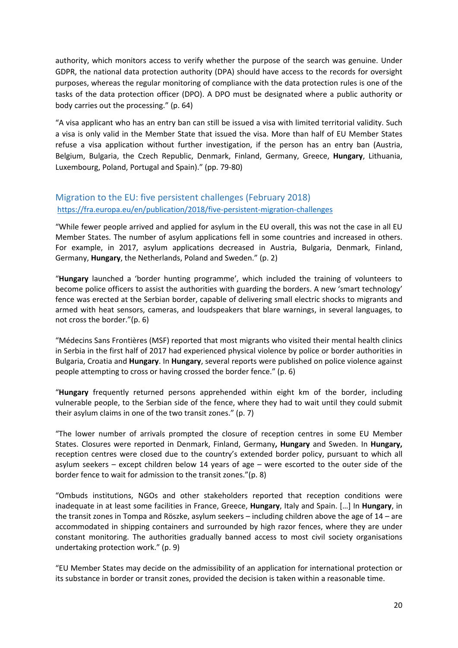<span id="page-19-0"></span>authority, which monitors access to verify whether the purpose of the search was genuine. Under GDPR, the national data protection authority (DPA) should have access to the records for oversight purposes, whereas the regular monitoring of compliance with the data protection rules is one of the tasks of the data protection officer (DPO). A DPO must be designated where <sup>a</sup> public authority or body carries out the processing." (p. 64)

"A visa applicant who has an entry ban can still be issued <sup>a</sup> visa with limited territorial validity. Such <sup>a</sup> visa is only valid in the Member State that issued the visa. More than half of EU Member States refuse <sup>a</sup> visa application without further investigation, if the person has an entry ban (Austria, Belgium, Bulgaria, the Czech Republic, Denmark, Finland, Germany, Greece, **Hungary**, Lithuania, Luxembourg, Poland, Portugal and Spain)." (pp. 79-80)

### Migration to the EU: five persistent challenges (February 2018) <https://fra.europa.eu/en/publication/2018/five-persistent-migration-challenges>

"While fewer people arrived and applied for asylum in the EU overall, this was not the case in all EU Member States. The number of asylum applications fell in some countries and increased in others. For example, in 2017, asylum applications decreased in Austria, Bulgaria, Denmark, Finland, Germany, **Hungary**, the Netherlands, Poland and Sweden." (p. 2)

"**Hungary** launched <sup>a</sup> 'border hunting programme', which included the training of volunteers to become police officers to assist the authorities with guarding the borders. A new 'smart technology' fence was erected at the Serbian border, capable of delivering small electric shocks to migrants and armed with heat sensors, cameras, and loudspeakers that blare warnings, in several languages, to not cross the border."(p. 6)

"Médecins Sans Frontières (MSF) reported that most migrants who visited their mental health clinics in Serbia in the first half of 2017 had experienced physical violence by police or border authorities in Bulgaria, Croatia and **Hungary**. In **Hungary**, several reports were published on police violence against people attempting to cross or having crossed the border fence." (p. 6)

"**Hungary** frequently returned persons apprehended within eight km of the border, including vulnerable people, to the Serbian side of the fence, where they had to wait until they could submit their asylum claims in one of the two transit zones." (p. 7)

"The lower number of arrivals prompted the closure of reception centres in some EU Member States. Closures were reported in Denmark, Finland, Germany**, Hungary** and Sweden. In **Hungary,** reception centres were closed due to the country'<sup>s</sup> extended border policy, pursuant to which all asylum seekers – except children below 14 years of age – were escorted to the outer side of the border fence to wait for admission to the transit zones."(p. 8)

"Ombuds institutions, NGOs and other stakeholders reported that reception conditions were inadequate in at least some facilities in France, Greece, **Hungary**, Italy and Spain. […] In **Hungary**, in the transit zones in Tompa and Röszke, asylum seekers – including children above the age of 14 – are accommodated in shipping containers and surrounded by high razor fences, where they are under constant monitoring. The authorities gradually banned access to most civil society organisations undertaking protection work." (p. 9)

"EU Member States may decide on the admissibility of an application for international protection or its substance in border or transit zones, provided the decision is taken within <sup>a</sup> reasonable time.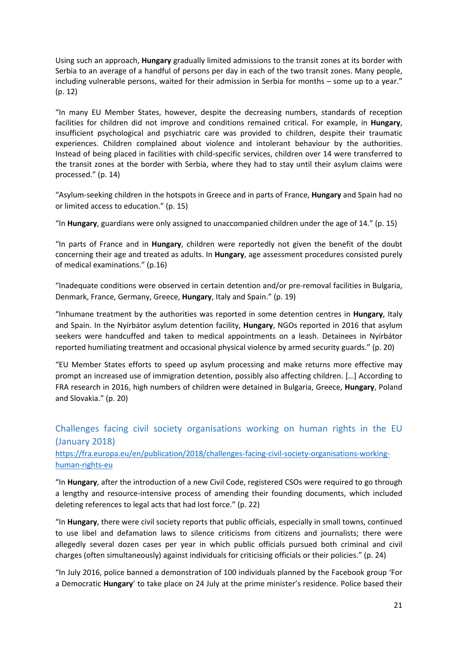<span id="page-20-0"></span>Using such an approach, **Hungary** gradually limited admissions to the transit zones at its border with Serbia to an average of <sup>a</sup> handful of persons per day in each of the two transit zones. Many people, including vulnerable persons, waited for their admission in Serbia for months – some up to <sup>a</sup> year." (p. 12)

"In many EU Member States, however, despite the decreasing numbers, standards of reception facilities for children did not improve and conditions remained critical. For example, in **Hungary**, insufficient psychological and psychiatric care was provided to children, despite their traumatic experiences. Children complained about violence and intolerant behaviour by the authorities. Instead of being placed in facilities with child-specific services, children over 14 were transferred to the transit zones at the border with Serbia, where they had to stay until their asylum claims were processed." (p. 14)

"Asylum-seeking children in the hotspots in Greece and in parts of France, **Hungary** and Spain had no or limited access to education." (p. 15)

"In **Hungary**, guardians were only assigned to unaccompanied children under the age of 14." (p. 15)

"In parts of France and in **Hungary**, children were reportedly not given the benefit of the doubt concerning their age and treated as adults. In **Hungary**, age assessment procedures consisted purely of medical examinations." (p.16)

"Inadequate conditions were observed in certain detention and/or pre-removal facilities in Bulgaria, Denmark, France, Germany, Greece, **Hungary**, Italy and Spain." (p. 19)

"Inhumane treatment by the authorities was reported in some detention centres in **Hungary**, Italy and Spain. In the Nyírbátor asylum detention facility, **Hungary**, NGOs reported in 2016 that asylum seekers were handcuffed and taken to medical appointments on <sup>a</sup> leash. Detainees in Nyírbátor reported humiliating treatment and occasional physical violence by armed security guards." (p. 20)

"EU Member States efforts to speed up asylum processing and make returns more effective may prompt an increased use of immigration detention, possibly also affecting children. […] According to FRA research in 2016, high numbers of children were detained in Bulgaria, Greece, **Hungary**, Poland and Slovakia." (p. 20)

## Challenges facing civil society organisations working on human rights in the EU (January 2018)

[https://fra.europa.eu/en/publication/2018/challenges-facing-civil-society-organisations-working](https://fra.europa.eu/en/publication/2018/challenges-facing-civil-society-organisations-working-human-rights-eu)[human-rights-eu](https://fra.europa.eu/en/publication/2018/challenges-facing-civil-society-organisations-working-human-rights-eu)

"In **Hungary**, after the introduction of <sup>a</sup> new Civil Code, registered CSOs were required to go through <sup>a</sup> lengthy and resource-intensive process of amending their founding documents, which included deleting references to legal acts that had lost force." (p. 22)

"In **Hungary**, there were civil society reports that public officials, especially in small towns, continued to use libel and defamation laws to silence criticisms from citizens and journalists; there were allegedly several dozen cases per year in which public officials pursued both criminal and civil charges (often simultaneously) against individuals for criticising officials or their policies." (p. 24)

"In July 2016, police banned <sup>a</sup> demonstration of 100 individuals planned by the Facebook group 'For <sup>a</sup> Democratic **Hungary**' to take place on 24 July at the prime minister'<sup>s</sup> residence. Police based their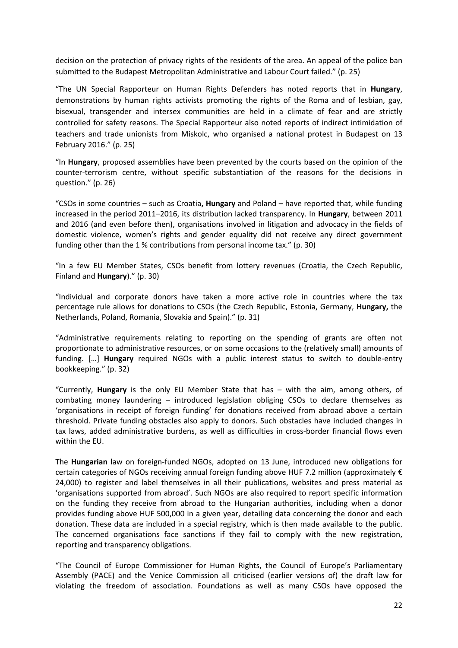decision on the protection of privacy rights of the residents of the area. An appeal of the police ban submitted to the Budapest Metropolitan Administrative and Labour Court failed." (p. 25)

"The UN Special Rapporteur on Human Rights Defenders has noted reports that in **Hungary**, demonstrations by human rights activists promoting the rights of the Roma and of lesbian, gay, bisexual, transgender and intersex communities are held in <sup>a</sup> climate of fear and are strictly controlled for safety reasons. The Special Rapporteur also noted reports of indirect intimidation of teachers and trade unionists from Miskolc, who organised <sup>a</sup> national protest in Budapest on 13 February 2016." (p. 25)

"In **Hungary**, proposed assemblies have been prevented by the courts based on the opinion of the counter-terrorism centre, without specific substantiation of the reasons for the decisions in question." (p. 26)

"CSOs in some countries – such as Croatia**, Hungary** and Poland – have reported that, while funding increased in the period 2011–2016, its distribution lacked transparency. In **Hungary**, between 2011 and 2016 (and even before then), organisations involved in litigation and advocacy in the fields of domestic violence, women'<sup>s</sup> rights and gender equality did not receive any direct government funding other than the 1 % contributions from personal income tax." (p. 30)

"In <sup>a</sup> few EU Member States, CSOs benefit from lottery revenues (Croatia, the Czech Republic, Finland and **Hungary**)." (p. 30)

"Individual and corporate donors have taken <sup>a</sup> more active role in countries where the tax percentage rule allows for donations to CSOs (the Czech Republic, Estonia, Germany, **Hungary,** the Netherlands, Poland, Romania, Slovakia and Spain)." (p. 31)

"Administrative requirements relating to reporting on the spending of grants are often not proportionate to administrative resources, or on some occasions to the (relatively small) amounts of funding. […] **Hungary** required NGOs with <sup>a</sup> public interest status to switch to double-entry bookkeeping." (p. 32)

"Currently, **Hungary** is the only EU Member State that has – with the aim, among others, of combating money laundering – introduced legislation obliging CSOs to declare themselves as 'organisations in receipt of foreign funding' for donations received from abroad above <sup>a</sup> certain threshold. Private funding obstacles also apply to donors. Such obstacles have included changes in tax laws, added administrative burdens, as well as difficulties in cross-border financial flows even within the EU.

The **Hungarian** law on foreign-funded NGOs, adopted on 13 June, introduced new obligations for certain categories of NGOs receiving annual foreign funding above HUF 7.2 million (approximately € 24,000) to register and label themselves in all their publications, websites and press material as 'organisations supported from abroad'. Such NGOs are also required to report specific information on the funding they receive from abroad to the Hungarian authorities, including when <sup>a</sup> donor provides funding above HUF 500,000 in <sup>a</sup> given year, detailing data concerning the donor and each donation. These data are included in <sup>a</sup> special registry, which is then made available to the public. The concerned organisations face sanctions if they fail to comply with the new registration, reporting and transparency obligations.

"The Council of Europe Commissioner for Human Rights, the Council of Europe'<sup>s</sup> Parliamentary Assembly (PACE) and the Venice Commission all criticised (earlier versions of) the draft law for violating the freedom of association. Foundations as well as many CSOs have opposed the